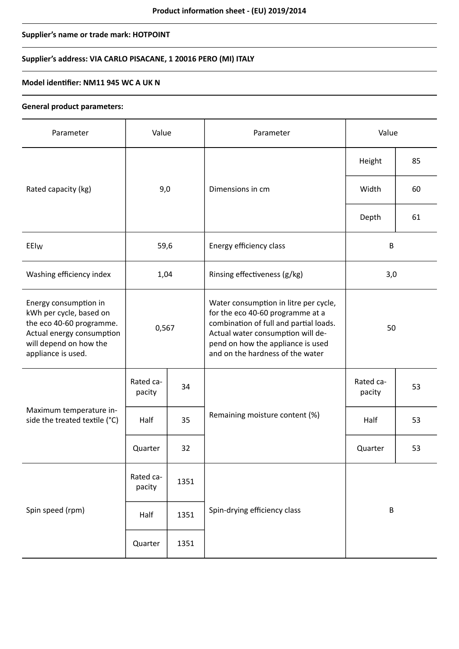# **Supplier's name or trade mark: HOTPOINT**

# **Supplier's address: VIA CARLO PISACANE, 1 20016 PERO (MI) ITALY**

## **Model identifier: NM11 945 WC A UK N**

### **General product parameters:**

| Parameter                                                                                                                                                 | Value               |      | Parameter                                                                                                                                                                                                                         | Value               |    |
|-----------------------------------------------------------------------------------------------------------------------------------------------------------|---------------------|------|-----------------------------------------------------------------------------------------------------------------------------------------------------------------------------------------------------------------------------------|---------------------|----|
|                                                                                                                                                           | 9,0                 |      | Dimensions in cm                                                                                                                                                                                                                  | Height              | 85 |
| Rated capacity (kg)                                                                                                                                       |                     |      |                                                                                                                                                                                                                                   | Width               | 60 |
|                                                                                                                                                           |                     |      |                                                                                                                                                                                                                                   | Depth               | 61 |
| EEIw                                                                                                                                                      | 59,6                |      | Energy efficiency class                                                                                                                                                                                                           | B                   |    |
| Washing efficiency index                                                                                                                                  | 1,04                |      | Rinsing effectiveness (g/kg)                                                                                                                                                                                                      | 3,0                 |    |
| Energy consumption in<br>kWh per cycle, based on<br>the eco 40-60 programme.<br>Actual energy consumption<br>will depend on how the<br>appliance is used. | 0,567               |      | Water consumption in litre per cycle,<br>for the eco 40-60 programme at a<br>combination of full and partial loads.<br>Actual water consumption will de-<br>pend on how the appliance is used<br>and on the hardness of the water | 50                  |    |
| Maximum temperature in-<br>side the treated textile (°C)                                                                                                  | Rated ca-<br>pacity | 34   | Remaining moisture content (%)                                                                                                                                                                                                    | Rated ca-<br>pacity | 53 |
|                                                                                                                                                           | Half                | 35   |                                                                                                                                                                                                                                   | Half                | 53 |
|                                                                                                                                                           | Quarter             | 32   |                                                                                                                                                                                                                                   | Quarter             | 53 |
| Spin speed (rpm)                                                                                                                                          | Rated ca-<br>pacity | 1351 |                                                                                                                                                                                                                                   | $\sf B$             |    |
|                                                                                                                                                           | Half                | 1351 | Spin-drying efficiency class                                                                                                                                                                                                      |                     |    |
|                                                                                                                                                           | Quarter             | 1351 |                                                                                                                                                                                                                                   |                     |    |